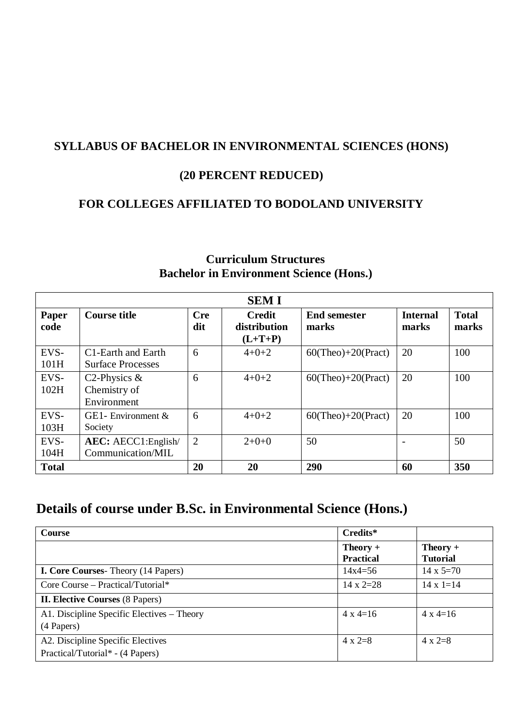# **SYLLABUS OF BACHELOR IN ENVIRONMENTAL SCIENCES (HONS)**

# **(20 PERCENT REDUCED)**

# **FOR COLLEGES AFFILIATED TO BODOLAND UNIVERSITY**

| <b>SEMI</b>   |                                                             |                   |                                            |                              |                          |                       |  |  |  |
|---------------|-------------------------------------------------------------|-------------------|--------------------------------------------|------------------------------|--------------------------|-----------------------|--|--|--|
| Paper<br>code | <b>Course title</b>                                         | <b>Cre</b><br>dit | <b>Credit</b><br>distribution<br>$(L+T+P)$ | <b>End semester</b><br>marks | <b>Internal</b><br>marks | <b>Total</b><br>marks |  |  |  |
| EVS-<br>101H  | C <sub>1</sub> -Earth and Earth<br><b>Surface Processes</b> | 6                 | $4 + 0 + 2$                                | $60$ (Theo)+20(Pract)        | 20                       | 100                   |  |  |  |
| EVS-<br>102H  | C <sub>2</sub> -Physics $\&$<br>Chemistry of<br>Environment | 6                 | $4 + 0 + 2$                                | $60$ (Theo)+20(Pract)        | 20                       | 100                   |  |  |  |
| EVS-<br>103H  | GE1-Environment $\&$<br>Society                             | 6                 | $4 + 0 + 2$                                | $60$ (Theo)+20(Pract)        | 20                       | 100                   |  |  |  |
| EVS-<br>104H  | <b>AEC:</b> AECC1: English<br>Communication/MIL             | 2                 | $2+0+0$                                    | 50                           |                          | 50                    |  |  |  |
| <b>Total</b>  |                                                             | 20                | 20                                         | 290                          | 60                       | 350                   |  |  |  |

# **Curriculum Structures Bachelor in Environment Science (Hons.)**

# **Details of course under B.Sc. in Environmental Science (Hons.)**

| <b>Course</b>                              | Credits*                       |                               |
|--------------------------------------------|--------------------------------|-------------------------------|
|                                            | $Theory +$<br><b>Practical</b> | $Theory +$<br><b>Tutorial</b> |
| <b>I. Core Courses-</b> Theory (14 Papers) | $14x4=56$                      | $14 \times 5=70$              |
| Core Course – Practical/Tutorial*          | $14 \times 2=28$               | $14 \times 1 = 14$            |
| <b>II. Elective Courses (8 Papers)</b>     |                                |                               |
| A1. Discipline Specific Electives - Theory | $4 \times 4 = 16$              | $4 \times 4 = 16$             |
| (4 Papers)                                 |                                |                               |
| A2. Discipline Specific Electives          | $4 \times 2=8$                 | $4 \times 2=8$                |
| Practical/Tutorial* - (4 Papers)           |                                |                               |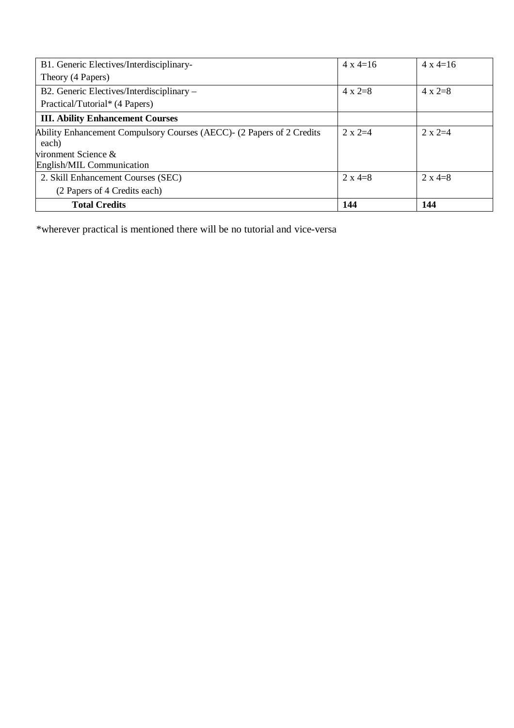| <b>Total Credits</b>                                                   | 144               | 144               |
|------------------------------------------------------------------------|-------------------|-------------------|
| (2 Papers of 4 Credits each)                                           |                   |                   |
| 2. Skill Enhancement Courses (SEC)                                     | $2 \times 4 = 8$  | $2 \times 4 = 8$  |
| English/MIL Communication                                              |                   |                   |
| vironment Science $\&$                                                 |                   |                   |
| each)                                                                  |                   |                   |
| Ability Enhancement Compulsory Courses (AECC) - (2 Papers of 2 Credits | $2 \times 2=4$    | $2 \times 2=4$    |
| <b>III. Ability Enhancement Courses</b>                                |                   |                   |
| Practical/Tutorial* (4 Papers)                                         |                   |                   |
| B2. Generic Electives/Interdisciplinary –                              | $4 \times 2=8$    | $4 \times 2=8$    |
| Theory (4 Papers)                                                      |                   |                   |
| B1. Generic Electives/Interdisciplinary-                               | $4 \times 4 = 16$ | $4 \times 4 = 16$ |

\*wherever practical is mentioned there will be no tutorial and vice-versa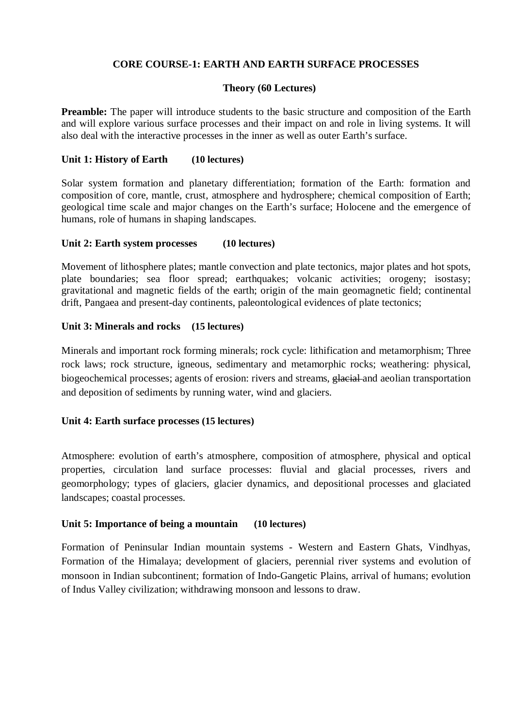## **CORE COURSE-1: EARTH AND EARTH SURFACE PROCESSES**

#### **Theory (60 Lectures)**

**Preamble:** The paper will introduce students to the basic structure and composition of the Earth and will explore various surface processes and their impact on and role in living systems. It will also deal with the interactive processes in the inner as well as outer Earth's surface.

#### **Unit 1: History of Earth (10 lectures)**

Solar system formation and planetary differentiation; formation of the Earth: formation and composition of core, mantle, crust, atmosphere and hydrosphere; chemical composition of Earth; geological time scale and major changes on the Earth's surface; Holocene and the emergence of humans, role of humans in shaping landscapes.

#### **Unit 2: Earth system processes (10 lectures)**

Movement of lithosphere plates; mantle convection and plate tectonics, major plates and hot spots, plate boundaries; sea floor spread; earthquakes; volcanic activities; orogeny; isostasy; gravitational and magnetic fields of the earth; origin of the main geomagnetic field; continental drift, Pangaea and present-day continents, paleontological evidences of plate tectonics;

#### **Unit 3: Minerals and rocks (15 lectures)**

Minerals and important rock forming minerals; rock cycle: lithification and metamorphism; Three rock laws; rock structure, igneous, sedimentary and metamorphic rocks; weathering: physical, biogeochemical processes; agents of erosion: rivers and streams, electrical and aeolian transportation and deposition of sediments by running water, wind and glaciers.

## **Unit 4: Earth surface processes (15 lectures)**

Atmosphere: evolution of earth's atmosphere, composition of atmosphere, physical and optical properties, circulation land surface processes: fluvial and glacial processes, rivers and geomorphology; types of glaciers, glacier dynamics, and depositional processes and glaciated landscapes; coastal processes.

#### **Unit 5: Importance of being a mountain (10 lectures)**

Formation of Peninsular Indian mountain systems - Western and Eastern Ghats, Vindhyas, Formation of the Himalaya; development of glaciers, perennial river systems and evolution of monsoon in Indian subcontinent; formation of Indo-Gangetic Plains, arrival of humans; evolution of Indus Valley civilization; withdrawing monsoon and lessons to draw.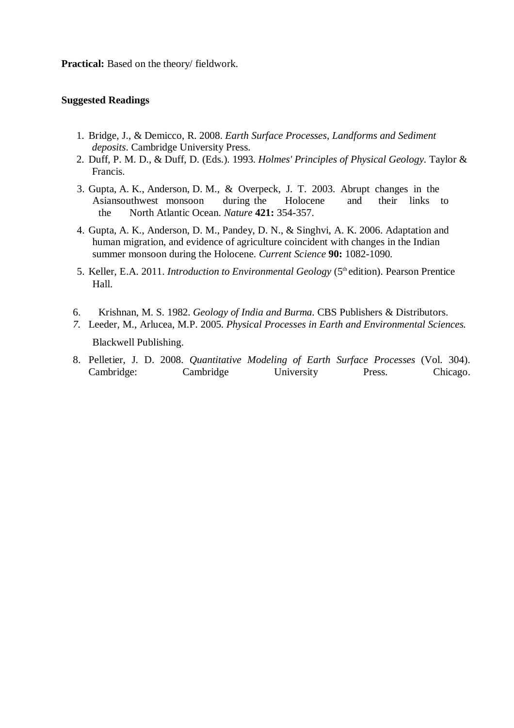**Practical:** Based on the theory/ fieldwork.

#### **Suggested Readings**

- 1. Bridge, J., & Demicco, R. 2008. *Earth Surface Processes, Landforms and Sediment deposits*. Cambridge University Press.
- 2. Duff, P. M. D., & Duff, D. (Eds.). 1993. *Holmes' Principles of Physical Geology*. Taylor & Francis.
- 3. Gupta, A. K., Anderson, D. M., & Overpeck, J. T. 2003. Abrupt changes in the Asiansouthwest monsoon during the Holocene and their links to the North Atlantic Ocean. *Nature* **421:** 354-357.
- 4. Gupta, A. K., Anderson, D. M., Pandey, D. N., & Singhvi, A. K. 2006. Adaptation and human migration, and evidence of agriculture coincident with changes in the Indian summer monsoon during the Holocene. *Current Science* **90:** 1082-1090.
- 5. Keller, E.A. 2011. *Introduction to Environmental Geology* (5th edition). Pearson Prentice Hall.
- 6. Krishnan, M. S. 1982. *Geology of India and Burma*. CBS Publishers & Distributors.
- *7.* Leeder, M., Arlucea, M.P. 2005. *Physical Processes in Earth and Environmental Sciences.* Blackwell Publishing.
- 8. Pelletier, J. D. 2008. *Quantitative Modeling of Earth Surface Processes* (Vol. 304). Cambridge: Cambridge University Press. Chicago.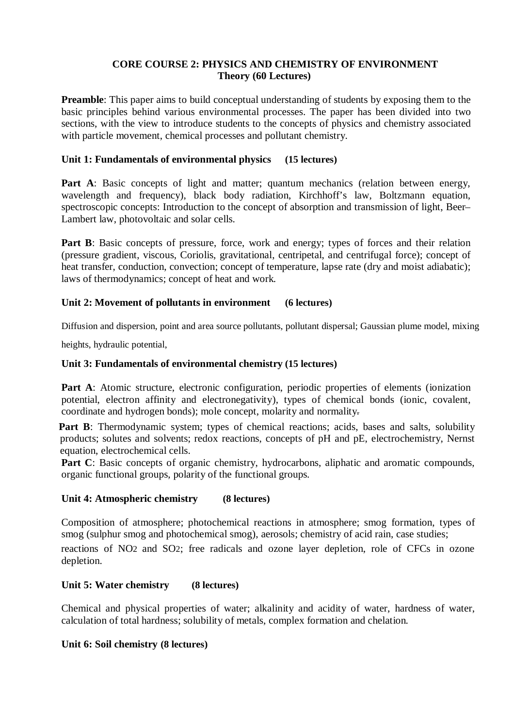# **CORE COURSE 2: PHYSICS AND CHEMISTRY OF ENVIRONMENT Theory (60 Lectures)**

**Preamble**: This paper aims to build conceptual understanding of students by exposing them to the basic principles behind various environmental processes. The paper has been divided into two sections, with the view to introduce students to the concepts of physics and chemistry associated with particle movement, chemical processes and pollutant chemistry.

## **Unit 1: Fundamentals of environmental physics (15 lectures)**

Part A: Basic concepts of light and matter; quantum mechanics (relation between energy, wavelength and frequency), black body radiation, Kirchhoff's law, Boltzmann equation, spectroscopic concepts: Introduction to the concept of absorption and transmission of light, Beer– Lambert law, photovoltaic and solar cells.

**Part B**: Basic concepts of pressure, force, work and energy; types of forces and their relation (pressure gradient, viscous, Coriolis, gravitational, centripetal, and centrifugal force); concept of heat transfer, conduction, convection; concept of temperature, lapse rate (dry and moist adiabatic); laws of thermodynamics; concept of heat and work.

#### **Unit 2: Movement of pollutants in environment (6 lectures)**

Diffusion and dispersion, point and area source pollutants, pollutant dispersal; Gaussian plume model, mixing

heights, hydraulic potential,

#### **Unit 3: Fundamentals of environmental chemistry (15 lectures)**

Part A: Atomic structure, electronic configuration, periodic properties of elements (ionization potential, electron affinity and electronegativity), types of chemical bonds (ionic, covalent, coordinate and hydrogen bonds); mole concept, molarity and normality.

Part B: Thermodynamic system; types of chemical reactions; acids, bases and salts, solubility products; solutes and solvents; redox reactions, concepts of pH and pE, electrochemistry, Nernst equation, electrochemical cells.

**Part C**: Basic concepts of organic chemistry, hydrocarbons, aliphatic and aromatic compounds, organic functional groups, polarity of the functional groups.

#### **Unit 4: Atmospheric chemistry (8 lectures)**

Composition of atmosphere; photochemical reactions in atmosphere; smog formation, types of smog (sulphur smog and photochemical smog), aerosols; chemistry of acid rain, case studies;

reactions of NO2 and SO2; free radicals and ozone layer depletion, role of CFCs in ozone depletion.

#### **Unit 5: Water chemistry (8 lectures)**

Chemical and physical properties of water; alkalinity and acidity of water, hardness of water, calculation of total hardness; solubility of metals, complex formation and chelation.

#### **Unit 6: Soil chemistry (8 lectures)**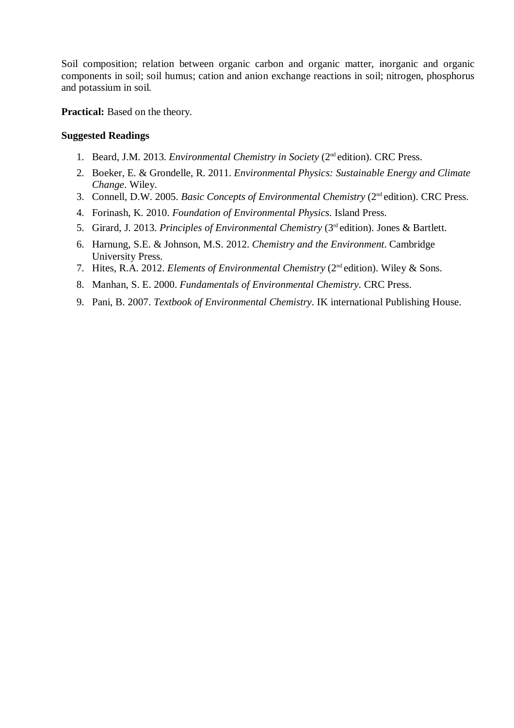Soil composition; relation between organic carbon and organic matter, inorganic and organic components in soil; soil humus; cation and anion exchange reactions in soil; nitrogen, phosphorus and potassium in soil.

**Practical:** Based on the theory.

#### **Suggested Readings**

- 1. Beard, J.M. 2013. *Environmental Chemistry in Society* (2nd edition). CRC Press.
- 2. Boeker, E. & Grondelle, R. 2011. *Environmental Physics: Sustainable Energy and Climate Change*. Wiley.
- 3. Connell, D.W. 2005. *Basic Concepts of Environmental Chemistry* (2nd edition). CRC Press.
- 4. Forinash, K. 2010. *Foundation of Environmental Physics*. Island Press.
- 5. Girard, J. 2013. *Principles of Environmental Chemistry* (3rd edition). Jones & Bartlett.
- 6. Harnung, S.E. & Johnson, M.S. 2012. *Chemistry and the Environment*. Cambridge University Press.
- 7. Hites, R.A. 2012. *Elements of Environmental Chemistry* (2nd edition). Wiley & Sons.
- 8. Manhan, S. E. 2000. *Fundamentals of Environmental Chemistry*. CRC Press.
- 9. Pani, B. 2007. *Textbook of Environmental Chemistry*. IK international Publishing House.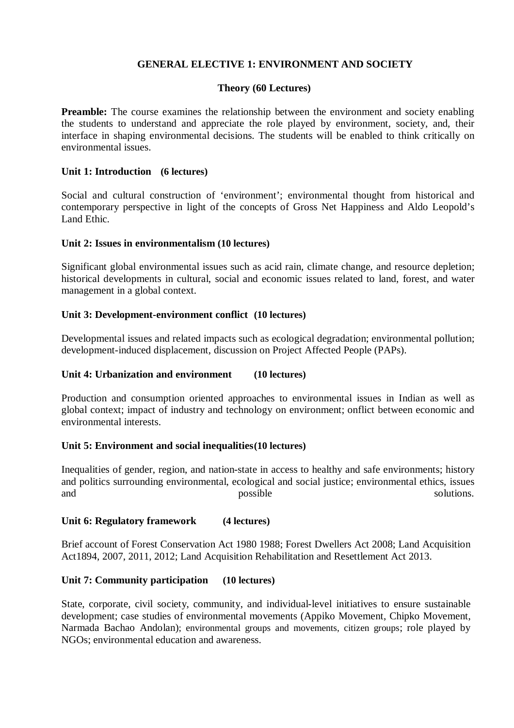## **GENERAL ELECTIVE 1: ENVIRONMENT AND SOCIETY**

#### **Theory (60 Lectures)**

**Preamble:** The course examines the relationship between the environment and society enabling the students to understand and appreciate the role played by environment, society, and, their interface in shaping environmental decisions. The students will be enabled to think critically on environmental issues.

#### **Unit 1: Introduction (6 lectures)**

Social and cultural construction of 'environment': environmental thought from historical and contemporary perspective in light of the concepts of Gross Net Happiness and Aldo Leopold's Land Ethic.

#### **Unit 2: Issues in environmentalism (10 lectures)**

Significant global environmental issues such as acid rain, climate change, and resource depletion; historical developments in cultural, social and economic issues related to land, forest, and water management in a global context.

#### **Unit 3: Development-environment conflict (10 lectures)**

Developmental issues and related impacts such as ecological degradation; environmental pollution; development-induced displacement, discussion on Project Affected People (PAPs).

## **Unit 4: Urbanization and environment (10 lectures)**

Production and consumption oriented approaches to environmental issues in Indian as well as global context; impact of industry and technology on environment; onflict between economic and environmental interests.

#### **Unit 5: Environment and social inequalities(10 lectures)**

Inequalities of gender, region, and nation-state in access to healthy and safe environments; history and politics surrounding environmental, ecological and social justice; environmental ethics, issues and possible solutions.

#### **Unit 6: Regulatory framework (4 lectures)**

Brief account of Forest Conservation Act 1980 1988; Forest Dwellers Act 2008; Land Acquisition Act1894, 2007, 2011, 2012; Land Acquisition Rehabilitation and Resettlement Act 2013.

#### **Unit 7: Community participation (10 lectures)**

State, corporate, civil society, community, and individual-level initiatives to ensure sustainable development; case studies of environmental movements (Appiko Movement, Chipko Movement, Narmada Bachao Andolan); environmental groups and movements, citizen groups; role played by NGOs; environmental education and awareness.